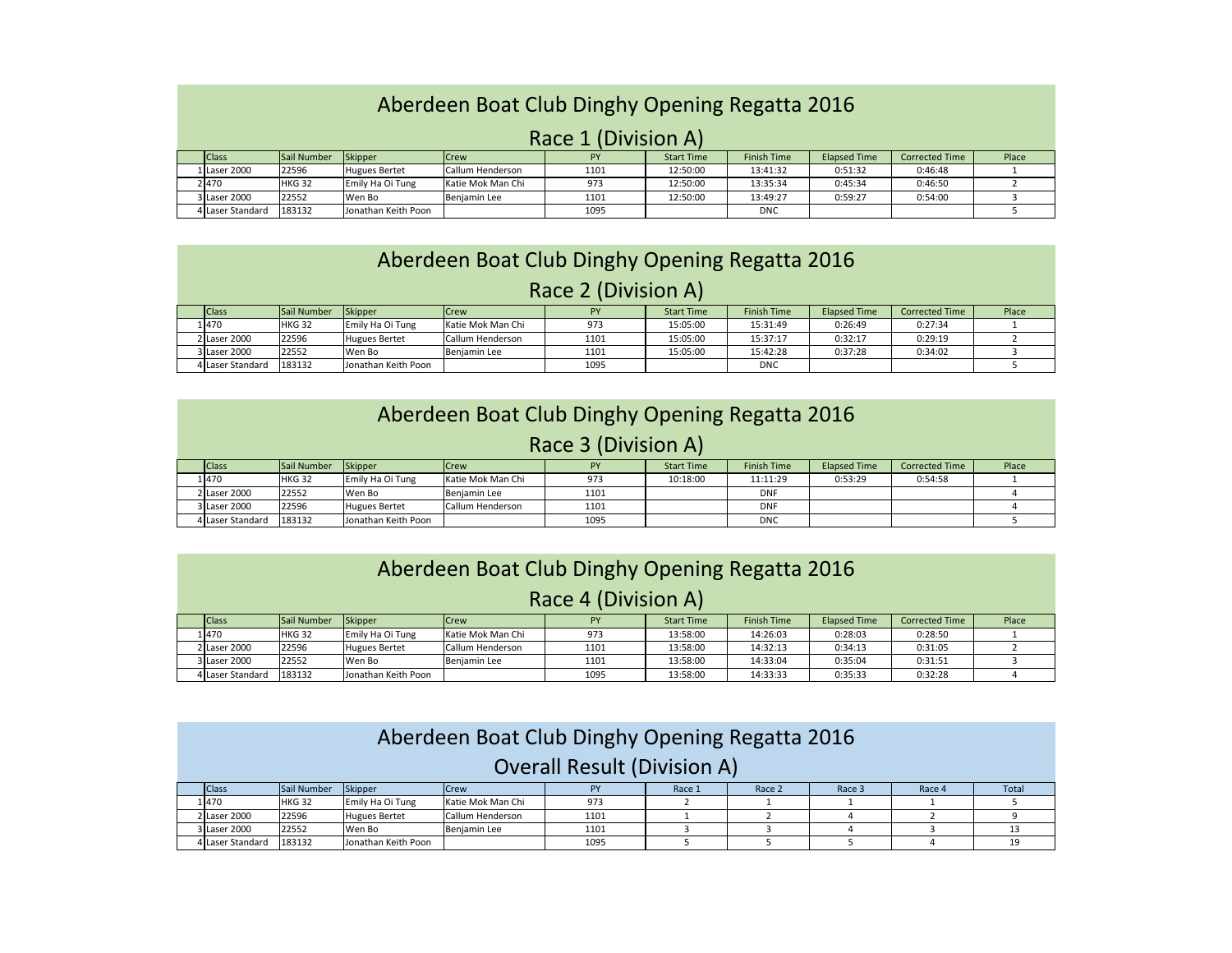## Aberdeen Boat Club Dinghy Opening Regatta 2016

## Race 1 (Division A)

| <b>Class</b>     | Sail Number       | Skipper              | <b>ICrew</b>      | PY   | <b>Start Time</b> | <b>Finish Time</b> | <b>Elapsed Time</b> | <b>Corrected Time</b> | Place |
|------------------|-------------------|----------------------|-------------------|------|-------------------|--------------------|---------------------|-----------------------|-------|
| Llaser 2000      | 22596             | <b>Hugues Bertet</b> | Callum Henderson  | 1101 | 12:50:00          | 13:41:32           | 0:51:32             | 0:46:48               |       |
| 2470             | HKG <sub>32</sub> | Emily Ha Oi Tung     | Katie Mok Man Chi | 973  | 12:50:00          | 13:35:34           | 0:45:34             | 0:46:50               |       |
| 3 Laser 2000     | 22552             | Wen Bo               | Benjamin Lee      | 1101 | 12:50:00          | 13:49:27           | 0:59:27             | 0:54:00               |       |
| 4 Laser Standard | 183132            | Jonathan Keith Poon  |                   | 1095 |                   | <b>DNC</b>         |                     |                       |       |

|                     | Aberdeen Boat Club Dinghy Opening Regatta 2016 |               |                      |                   |      |                   |                    |                     |                       |       |  |  |
|---------------------|------------------------------------------------|---------------|----------------------|-------------------|------|-------------------|--------------------|---------------------|-----------------------|-------|--|--|
| Race 2 (Division A) |                                                |               |                      |                   |      |                   |                    |                     |                       |       |  |  |
|                     | <b>Class</b>                                   | Sail Number   | Skipper              | <b>Crew</b>       | PY   | <b>Start Time</b> | <b>Finish Time</b> | <b>Elapsed Time</b> | <b>Corrected Time</b> | Place |  |  |
|                     | 1470                                           | <b>HKG 32</b> | Emily Ha Oi Tung     | Katie Mok Man Chi | 973  | 15:05:00          | 15:31:49           | 0:26:49             | 0:27:34               |       |  |  |
|                     | 2 Laser 2000                                   | 22596         | <b>Hugues Bertet</b> | Callum Henderson  | 1101 | 15:05:00          | 15:37:17           | 0:32:17             | 0:29:19               |       |  |  |
|                     | 3 Laser 2000                                   | 22552         | Wen Bo               | Benjamin Lee      | 1101 | 15:05:00          | 15:42:28           | 0:37:28             | 0:34:02               |       |  |  |
|                     | 4 Laser Standard                               | 183132        | Jonathan Keith Poon  |                   | 1095 |                   | <b>DNC</b>         |                     |                       |       |  |  |

| Aberdeen Boat Club Dinghy Opening Regatta 2016 |               |                      |                   |           |                   |                    |                     |                       |       |  |
|------------------------------------------------|---------------|----------------------|-------------------|-----------|-------------------|--------------------|---------------------|-----------------------|-------|--|
| Race 3 (Division A)                            |               |                      |                   |           |                   |                    |                     |                       |       |  |
| <b>Class</b>                                   | Sail Number   | Skipper              | Crew              | <b>PY</b> | <b>Start Time</b> | <b>Finish Time</b> | <b>Elapsed Time</b> | <b>Corrected Time</b> | Place |  |
| 1470                                           | <b>HKG 32</b> | Emily Ha Oi Tung     | Katie Mok Man Chi | 973       | 10:18:00          | 11:11:29           | 0:53:29             | 0:54:58               |       |  |
| 2 Laser 2000                                   | 22552         | Wen Bo               | Beniamin Lee      | 1101      |                   | <b>DNF</b>         |                     |                       |       |  |
| 3 Laser 2000                                   | 22596         | <b>Hugues Bertet</b> | Callum Henderson  | 1101      |                   | <b>DNF</b>         |                     |                       |       |  |
| 4 Laser Standard                               | 183132        | Jonathan Keith Poon  |                   | 1095      |                   | <b>DNC</b>         |                     |                       |       |  |

| Aberdeen Boat Club Dinghy Opening Regatta 2016 |               |                      |                   |           |                   |                    |                     |                       |       |  |  |
|------------------------------------------------|---------------|----------------------|-------------------|-----------|-------------------|--------------------|---------------------|-----------------------|-------|--|--|
| Race 4 (Division A)                            |               |                      |                   |           |                   |                    |                     |                       |       |  |  |
| <b>Class</b>                                   | Sail Number   | <b>Skipper</b>       | Crew              | <b>PY</b> | <b>Start Time</b> | <b>Finish Time</b> | <b>Elapsed Time</b> | <b>Corrected Time</b> | Place |  |  |
| 1470                                           | <b>HKG 32</b> | Emily Ha Oi Tung     | Katie Mok Man Chi | 973       | 13:58:00          | 14:26:03           | 0:28:03             | 0:28:50               |       |  |  |
| 2 Laser 2000                                   | 22596         | <b>Hugues Bertet</b> | Callum Henderson  | 1101      | 13:58:00          | 14:32:13           | 0:34:13             | 0:31:05               |       |  |  |
| 3 Laser 2000                                   | 22552         | Wen Bo               | Beniamin Lee      | 1101      | 13:58:00          | 14:33:04           | 0:35:04             | 0:31:51               |       |  |  |
| 4 Laser Standard                               | 183132        | Jonathan Keith Poon  |                   | 1095      | 13:58:00          | 14:33:33           | 0:35:33             | 0:32:28               |       |  |  |

| Aberdeen Boat Club Dinghy Opening Regatta 2016 |               |                      |                   |      |        |        |        |        |       |  |  |
|------------------------------------------------|---------------|----------------------|-------------------|------|--------|--------|--------|--------|-------|--|--|
| <b>Overall Result (Division A)</b>             |               |                      |                   |      |        |        |        |        |       |  |  |
| <b>Class</b>                                   | Sail Number   | Skipper              | <b>Crew</b>       | PY   | Race 1 | Race 2 | Race 3 | Race 4 | Total |  |  |
| 1470                                           | <b>HKG 32</b> | Emily Ha Oi Tung     | Katie Mok Man Chi | 973  |        |        |        |        |       |  |  |
| 2 Laser 2000                                   | 22596         | <b>Hugues Bertet</b> | Callum Henderson  | 1101 |        |        |        |        |       |  |  |
| 3 Laser 2000                                   | 22552         | Wen Bo               | Benjamin Lee      | 1101 |        |        |        |        |       |  |  |
| 4 Laser Standard                               | 183132        | Jonathan Keith Poon  |                   | 1095 |        |        |        |        | 19    |  |  |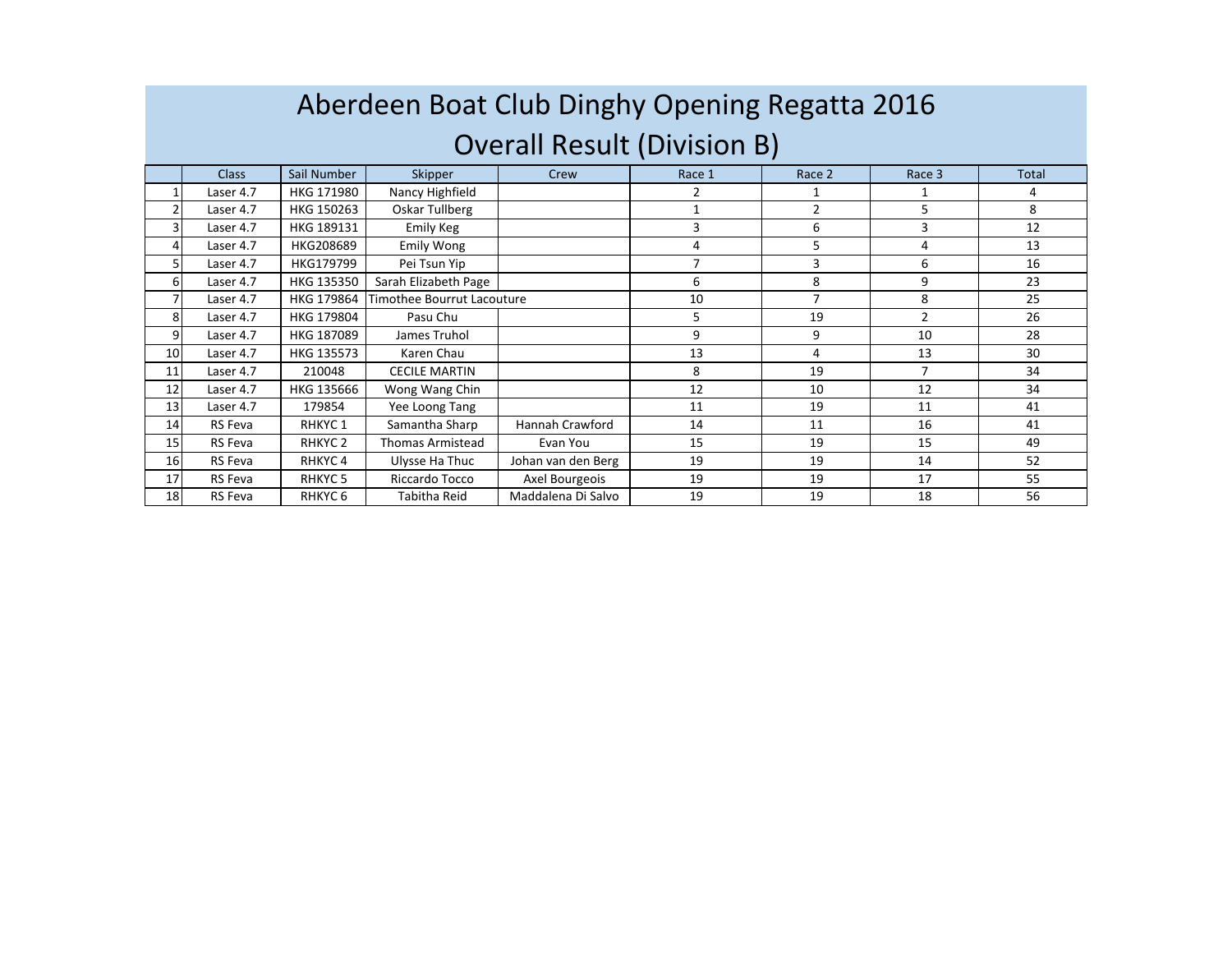## Aberdeen Boat Club Dinghy Opening Regatta 2016Overall Result (Division B)

|                | <b>Class</b> | Sail Number        | Skipper                    | Crew               | Race 1 | Race 2         | Race 3         | <b>Total</b> |
|----------------|--------------|--------------------|----------------------------|--------------------|--------|----------------|----------------|--------------|
| $\mathbf{1}$   | Laser 4.7    | HKG 171980         | Nancy Highfield            |                    |        |                |                | 4            |
| $\overline{2}$ | Laser 4.7    | HKG 150263         | Oskar Tullberg             |                    | 1      | $\overline{2}$ | 5              | 8            |
| 3 <sub>1</sub> | Laser 4.7    | HKG 189131         | Emily Keg                  |                    | 3      | 6              | 3              | 12           |
| 4              | Laser 4.7    | HKG208689          | <b>Emily Wong</b>          |                    | 4      | 5              | 4              | 13           |
| 5              | Laser 4.7    | HKG179799          | Pei Tsun Yip               |                    | 7      | 3              | 6              | 16           |
| $6 \mid$       | Laser 4.7    | HKG 135350         | Sarah Elizabeth Page       |                    | 6      | 8              | 9              | 23           |
| 7              | Laser 4.7    | HKG 179864         | Timothee Bourrut Lacouture |                    | 10     | 7              | 8              | 25           |
| 8              | Laser 4.7    | HKG 179804         | Pasu Chu                   |                    | 5      | 19             | $\overline{2}$ | 26           |
| 9              | Laser 4.7    | HKG 187089         | James Truhol               |                    | 9      | 9              | 10             | 28           |
| 10             | Laser 4.7    | HKG 135573         | Karen Chau                 |                    | 13     | 4              | 13             | 30           |
| 11             | Laser 4.7    | 210048             | <b>CECILE MARTIN</b>       |                    | 8      | 19             | $\overline{7}$ | 34           |
| 12             | Laser 4.7    | HKG 135666         | Wong Wang Chin             |                    | 12     | 10             | 12             | 34           |
| 13             | Laser 4.7    | 179854             | Yee Loong Tang             |                    | 11     | 19             | 11             | 41           |
| 14             | RS Feva      | RHKYC <sub>1</sub> | Samantha Sharp             | Hannah Crawford    | 14     | 11             | 16             | 41           |
| 15             | RS Feva      | RHKYC <sub>2</sub> | <b>Thomas Armistead</b>    | Evan You           | 15     | 19             | 15             | 49           |
| 16             | RS Feva      | RHKYC 4            | Ulysse Ha Thuc             | Johan van den Berg | 19     | 19             | 14             | 52           |
| 17             | RS Feva      | RHKYC 5            | Riccardo Tocco             | Axel Bourgeois     | 19     | 19             | 17             | 55           |
| 18             | RS Feva      | RHKYC <sub>6</sub> | Tabitha Reid               | Maddalena Di Salvo | 19     | 19             | 18             | 56           |